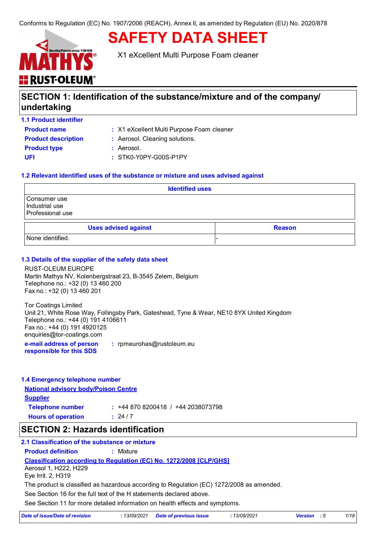# **SAFETY DATA SHEET**



X1 eXcellent Multi Purpose Foam cleaner

## **SECTION 1: Identification of the substance/mixture and of the company/ undertaking**

**1.1 Product identifier**

**Product name** : X1 eXcellent Multi Purpose Foam cleaner

| <b>Product descriptio</b> |
|---------------------------|
| <b>Product type</b>       |
| UFI                       |

- **n :** Aerosol. Cleaning solutions.
	- **:** Aerosol.
	- **UFI :** STK0-Y0PY-G00S-P1PY

### **1.2 Relevant identified uses of the substance or mixture and uses advised against**

| <b>Identified uses</b>                             |  |  |  |
|----------------------------------------------------|--|--|--|
| Consumer use<br>Industrial use<br>Professional use |  |  |  |
| <b>Uses advised against</b><br><b>Reason</b>       |  |  |  |
| None identified.                                   |  |  |  |

### **1.3 Details of the supplier of the safety data sheet**

RUST-OLEUM EUROPE Martin Mathys NV, Kolenbergstraat 23, B-3545 Zelem, Belgium Telephone no.: +32 (0) 13 460 200 Fax no.: +32 (0) 13 460 201

Tor Coatings Limited Unit 21, White Rose Way, Follingsby Park, Gateshead, Tyne & Wear, NE10 8YX United Kingdom Telephone no.: +44 (0) 191 4106611 Fax no.: +44 (0) 191 4920125 enquiries@tor-coatings.com

**e-mail address of person responsible for this SDS :** rpmeurohas@rustoleum.eu

### **1.4 Emergency telephone number**

**National advisory body/Poison Centre Supplier**

| <b>Telephone number</b>   | $: +448708200418 / +442038073798$ |
|---------------------------|-----------------------------------|
| <b>Hours of operation</b> | : 24/7                            |

### **SECTION 2: Hazards identification**

### **2.1 Classification of the substance or mixture**

**Product definition :** Mixture

### **Classification according to Regulation (EC) No. 1272/2008 [CLP/GHS]**

Aerosol 1, H222, H229 Eye Irrit. 2, H319

The product is classified as hazardous according to Regulation (EC) 1272/2008 as amended.

See Section 16 for the full text of the H statements declared above.

See Section 11 for more detailed information on health effects and symptoms.

| Date of issue/Date of revision | 13/09/2021 Date of previous issue | 13/09/2021 | <b>Version</b> : 5 |  |
|--------------------------------|-----------------------------------|------------|--------------------|--|
|                                |                                   |            |                    |  |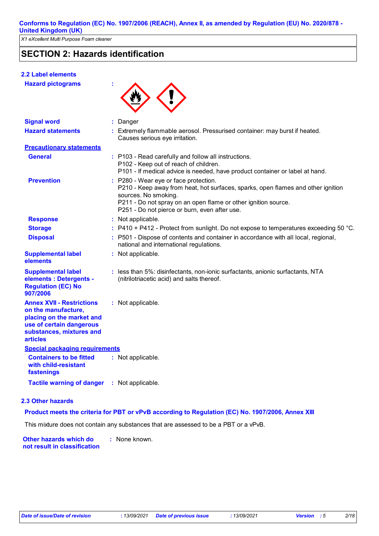### **SECTION 2: Hazards identification**

### **2.2 Label elements**

**Hazard pictograms :**



| <b>Signal word</b>                                                                                                                                              | : Danger                                                                                                                                                                                                                                                             |
|-----------------------------------------------------------------------------------------------------------------------------------------------------------------|----------------------------------------------------------------------------------------------------------------------------------------------------------------------------------------------------------------------------------------------------------------------|
| <b>Hazard statements</b>                                                                                                                                        | Extremely flammable aerosol. Pressurised container: may burst if heated.<br>Causes serious eye irritation.                                                                                                                                                           |
| <b>Precautionary statements</b>                                                                                                                                 |                                                                                                                                                                                                                                                                      |
| <b>General</b>                                                                                                                                                  | : P103 - Read carefully and follow all instructions.<br>P102 - Keep out of reach of children.<br>P101 - If medical advice is needed, have product container or label at hand.                                                                                        |
| <b>Prevention</b>                                                                                                                                               | : P280 - Wear eye or face protection.<br>P210 - Keep away from heat, hot surfaces, sparks, open flames and other ignition<br>sources. No smoking.<br>P211 - Do not spray on an open flame or other ignition source.<br>P251 - Do not pierce or burn, even after use. |
| <b>Response</b>                                                                                                                                                 | : Not applicable.                                                                                                                                                                                                                                                    |
| <b>Storage</b>                                                                                                                                                  | $:$ P410 + P412 - Protect from sunlight. Do not expose to temperatures exceeding 50 °C.                                                                                                                                                                              |
| <b>Disposal</b>                                                                                                                                                 | : P501 - Dispose of contents and container in accordance with all local, regional,<br>national and international regulations.                                                                                                                                        |
| <b>Supplemental label</b><br>elements                                                                                                                           | : Not applicable.                                                                                                                                                                                                                                                    |
| <b>Supplemental label</b><br>elements : Detergents -<br><b>Regulation (EC) No</b><br>907/2006                                                                   | : less than 5%: disinfectants, non-ionic surfactants, anionic surfactants, NTA<br>(nitrilotriacetic acid) and salts thereof.                                                                                                                                         |
| <b>Annex XVII - Restrictions</b><br>on the manufacture,<br>placing on the market and<br>use of certain dangerous<br>substances, mixtures and<br><b>articles</b> | : Not applicable.                                                                                                                                                                                                                                                    |
| <b>Special packaging requirements</b>                                                                                                                           |                                                                                                                                                                                                                                                                      |
| <b>Containers to be fitted</b><br>with child-resistant<br>fastenings                                                                                            | : Not applicable.                                                                                                                                                                                                                                                    |
| <b>Tactile warning of danger</b>                                                                                                                                | : Not applicable.                                                                                                                                                                                                                                                    |

### **2.3 Other hazards**

#### **Product meets the criteria for PBT or vPvB according to Regulation (EC) No. 1907/2006, Annex XIII**

This mixture does not contain any substances that are assessed to be a PBT or a vPvB.

**Other hazards which do : not result in classification** : None known.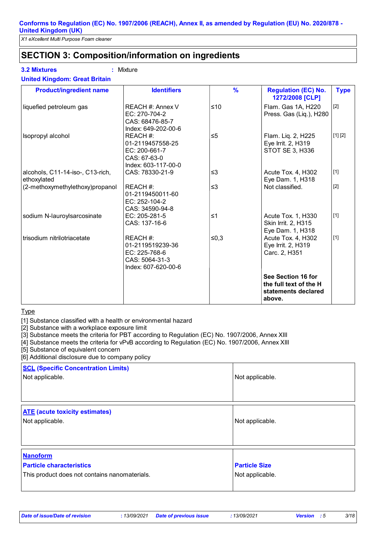### **SECTION 3: Composition/information on ingredients**

### **3.2 Mixtures :** Mixture

| <b>Product/ingredient name</b>                  | <b>Identifiers</b>                                                                     | $\frac{9}{6}$ | <b>Regulation (EC) No.</b><br>1272/2008 [CLP]                                 | <b>Type</b> |
|-------------------------------------------------|----------------------------------------------------------------------------------------|---------------|-------------------------------------------------------------------------------|-------------|
| liquefied petroleum gas                         | REACH #: Annex V<br>EC: 270-704-2<br>CAS: 68476-85-7<br>Index: 649-202-00-6            | ≤10           | Flam. Gas 1A, H220<br>Press. Gas (Liq.), H280                                 | [2]         |
| Isopropyl alcohol                               | REACH #:<br>01-2119457558-25<br>EC: 200-661-7<br>CAS: 67-63-0<br>Index: 603-117-00-0   | $\leq 5$      | Flam. Liq. 2, H225<br>Eye Irrit. 2, H319<br>STOT SE 3, H336                   | [1] [2]     |
| alcohols, C11-14-iso-, C13-rich,<br>ethoxylated | CAS: 78330-21-9                                                                        | $\leq$ 3      | Acute Tox. 4, H302<br>Eye Dam. 1, H318                                        | $[1]$       |
| (2-methoxymethylethoxy)propanol                 | REACH #:<br>01-2119450011-60<br>EC: 252-104-2<br>CAS: 34590-94-8                       | $\leq$ 3      | Not classified.                                                               | $[2]$       |
| sodium N-lauroylsarcosinate                     | EC: 205-281-5<br>CAS: 137-16-6                                                         | $\leq 1$      | Acute Tox. 1, H330<br>Skin Irrit. 2, H315<br>Eye Dam. 1, H318                 | $[1]$       |
| trisodium nitrilotriacetate                     | REACH #:<br>01-2119519239-36<br>EC: 225-768-6<br>CAS: 5064-31-3<br>Index: 607-620-00-6 | ≤ $0,3$       | Acute Tox. 4, H302<br>Eye Irrit. 2, H319<br>Carc. 2, H351                     | $[1]$       |
|                                                 |                                                                                        |               | See Section 16 for<br>the full text of the H<br>statements declared<br>above. |             |

**Type** 

[1] Substance classified with a health or environmental hazard

[2] Substance with a workplace exposure limit

[3] Substance meets the criteria for PBT according to Regulation (EC) No. 1907/2006, Annex XIII

[4] Substance meets the criteria for vPvB according to Regulation (EC) No. 1907/2006, Annex XIII

[5] Substance of equivalent concern

[6] Additional disclosure due to company policy

| <b>SCL (Specific Concentration Limits)</b><br>Not applicable.                                       | Not applicable.                         |
|-----------------------------------------------------------------------------------------------------|-----------------------------------------|
| <b>ATE</b> (acute toxicity estimates)<br>Not applicable.                                            | Not applicable.                         |
| <b>Nanoform</b><br><b>Particle characteristics</b><br>This product does not contains nanomaterials. | <b>Particle Size</b><br>Not applicable. |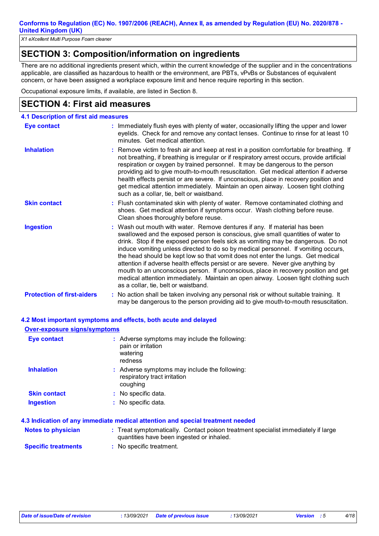*X1 eXcellent Multi Purpose Foam cleaner*

### **SECTION 3: Composition/information on ingredients**

There are no additional ingredients present which, within the current knowledge of the supplier and in the concentrations applicable, are classified as hazardous to health or the environment, are PBTs, vPvBs or Substances of equivalent concern, or have been assigned a workplace exposure limit and hence require reporting in this section.

Occupational exposure limits, if available, are listed in Section 8.

### **SECTION 4: First aid measures**

| <b>4.1 Description of first aid measures</b> |                                                                                                                                                                                                                                                                                                                                                                                                                                                                                                                                                                                                                                                                                                                                      |
|----------------------------------------------|--------------------------------------------------------------------------------------------------------------------------------------------------------------------------------------------------------------------------------------------------------------------------------------------------------------------------------------------------------------------------------------------------------------------------------------------------------------------------------------------------------------------------------------------------------------------------------------------------------------------------------------------------------------------------------------------------------------------------------------|
| Eye contact                                  | : Immediately flush eyes with plenty of water, occasionally lifting the upper and lower<br>eyelids. Check for and remove any contact lenses. Continue to rinse for at least 10<br>minutes. Get medical attention.                                                                                                                                                                                                                                                                                                                                                                                                                                                                                                                    |
| <b>Inhalation</b>                            | : Remove victim to fresh air and keep at rest in a position comfortable for breathing. If<br>not breathing, if breathing is irregular or if respiratory arrest occurs, provide artificial<br>respiration or oxygen by trained personnel. It may be dangerous to the person<br>providing aid to give mouth-to-mouth resuscitation. Get medical attention if adverse<br>health effects persist or are severe. If unconscious, place in recovery position and<br>get medical attention immediately. Maintain an open airway. Loosen tight clothing<br>such as a collar, tie, belt or waistband.                                                                                                                                         |
| <b>Skin contact</b>                          | : Flush contaminated skin with plenty of water. Remove contaminated clothing and<br>shoes. Get medical attention if symptoms occur. Wash clothing before reuse.<br>Clean shoes thoroughly before reuse.                                                                                                                                                                                                                                                                                                                                                                                                                                                                                                                              |
| <b>Ingestion</b>                             | : Wash out mouth with water. Remove dentures if any. If material has been<br>swallowed and the exposed person is conscious, give small quantities of water to<br>drink. Stop if the exposed person feels sick as vomiting may be dangerous. Do not<br>induce vomiting unless directed to do so by medical personnel. If vomiting occurs,<br>the head should be kept low so that vomit does not enter the lungs. Get medical<br>attention if adverse health effects persist or are severe. Never give anything by<br>mouth to an unconscious person. If unconscious, place in recovery position and get<br>medical attention immediately. Maintain an open airway. Loosen tight clothing such<br>as a collar, tie, belt or waistband. |
| <b>Protection of first-aiders</b>            | : No action shall be taken involving any personal risk or without suitable training. It<br>may be dangerous to the person providing aid to give mouth-to-mouth resuscitation.                                                                                                                                                                                                                                                                                                                                                                                                                                                                                                                                                        |

#### **4.2 Most important symptoms and effects, both acute and delayed**

| <b>Over-exposure signs/symptoms</b> |                                                                                                                  |
|-------------------------------------|------------------------------------------------------------------------------------------------------------------|
| <b>Eye contact</b>                  | : Adverse symptoms may include the following:<br>pain or irritation<br>watering<br>redness                       |
| <b>Inhalation</b>                   | : Adverse symptoms may include the following:<br>respiratory tract irritation<br>coughing                        |
| <b>Skin contact</b>                 | : No specific data.                                                                                              |
| <b>Ingestion</b>                    | : No specific data.                                                                                              |
|                                     | 4.3 Indication of any immediate medical attention and special treatment needed                                   |
| i Aladaa da waxaalahaa              | . Tussal on peach of lashing Department peach of the state and expectation of all the peach of the second second |

| Notes to physician         | : Treat symptomatically. Contact poison treatment specialist immediately if large<br>quantities have been ingested or inhaled. |
|----------------------------|--------------------------------------------------------------------------------------------------------------------------------|
| <b>Specific treatments</b> | : No specific treatment.                                                                                                       |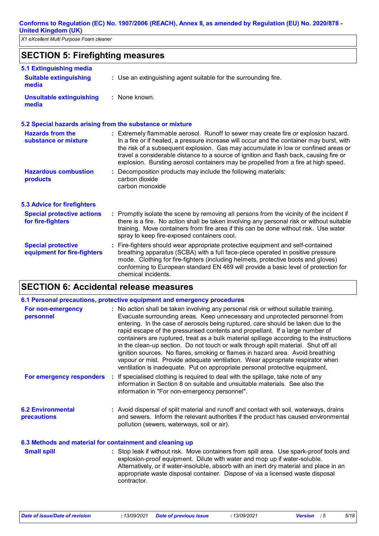### **SECTION 5: Firefighting measures**

| 5.1 Extinguishing media                                   |                                                                                                                                                                                                                                                                                                                                                                                                                                                       |
|-----------------------------------------------------------|-------------------------------------------------------------------------------------------------------------------------------------------------------------------------------------------------------------------------------------------------------------------------------------------------------------------------------------------------------------------------------------------------------------------------------------------------------|
| <b>Suitable extinguishing</b><br>media                    | : Use an extinguishing agent suitable for the surrounding fire.                                                                                                                                                                                                                                                                                                                                                                                       |
| <b>Unsuitable extinguishing</b><br>media                  | : None known.                                                                                                                                                                                                                                                                                                                                                                                                                                         |
| 5.2 Special hazards arising from the substance or mixture |                                                                                                                                                                                                                                                                                                                                                                                                                                                       |
| <b>Hazards from the</b><br>substance or mixture           | : Extremely flammable aerosol. Runoff to sewer may create fire or explosion hazard.<br>In a fire or if heated, a pressure increase will occur and the container may burst, with<br>the risk of a subsequent explosion. Gas may accumulate in low or confined areas or<br>travel a considerable distance to a source of ignition and flash back, causing fire or<br>explosion. Bursting aerosol containers may be propelled from a fire at high speed. |
| <b>Hazardous combustion</b><br>products                   | Decomposition products may include the following materials:<br>carbon dioxide<br>carbon monoxide                                                                                                                                                                                                                                                                                                                                                      |
| <b>5.3 Advice for firefighters</b>                        |                                                                                                                                                                                                                                                                                                                                                                                                                                                       |
| <b>Special protective actions</b><br>for fire-fighters    | : Promptly isolate the scene by removing all persons from the vicinity of the incident if<br>there is a fire. No action shall be taken involving any personal risk or without suitable<br>training. Move containers from fire area if this can be done without risk. Use water<br>spray to keep fire-exposed containers cool.                                                                                                                         |
| <b>Special protective</b><br>equipment for fire-fighters  | Fire-fighters should wear appropriate protective equipment and self-contained<br>breathing apparatus (SCBA) with a full face-piece operated in positive pressure<br>mode. Clothing for fire-fighters (including helmets, protective boots and gloves)<br>conforming to European standard EN 469 will provide a basic level of protection for<br>chemical incidents.                                                                                   |

# **SECTION 6: Accidental release measures**

| 6.1 Personal precautions, protective equipment and emergency procedures |                                                                                                                                                                                                                                                                                                                                                                                                                                                                                                                                                                                                                                                                                                                                                                                 |  |  |
|-------------------------------------------------------------------------|---------------------------------------------------------------------------------------------------------------------------------------------------------------------------------------------------------------------------------------------------------------------------------------------------------------------------------------------------------------------------------------------------------------------------------------------------------------------------------------------------------------------------------------------------------------------------------------------------------------------------------------------------------------------------------------------------------------------------------------------------------------------------------|--|--|
| For non-emergency<br>personnel                                          | : No action shall be taken involving any personal risk or without suitable training.<br>Evacuate surrounding areas. Keep unnecessary and unprotected personnel from<br>entering. In the case of aerosols being ruptured, care should be taken due to the<br>rapid escape of the pressurised contents and propellant. If a large number of<br>containers are ruptured, treat as a bulk material spillage according to the instructions<br>in the clean-up section. Do not touch or walk through spilt material. Shut off all<br>ignition sources. No flares, smoking or flames in hazard area. Avoid breathing<br>vapour or mist. Provide adequate ventilation. Wear appropriate respirator when<br>ventilation is inadequate. Put on appropriate personal protective equipment. |  |  |
| For emergency responders                                                | : If specialised clothing is required to deal with the spillage, take note of any<br>information in Section 8 on suitable and unsuitable materials. See also the<br>information in "For non-emergency personnel".                                                                                                                                                                                                                                                                                                                                                                                                                                                                                                                                                               |  |  |
| <b>6.2 Environmental</b><br>precautions                                 | : Avoid dispersal of spilt material and runoff and contact with soil, waterways, drains<br>and sewers. Inform the relevant authorities if the product has caused environmental<br>pollution (sewers, waterways, soil or air).                                                                                                                                                                                                                                                                                                                                                                                                                                                                                                                                                   |  |  |
| 6.3 Methods and material for containment and cleaning up                |                                                                                                                                                                                                                                                                                                                                                                                                                                                                                                                                                                                                                                                                                                                                                                                 |  |  |
| <b>Small spill</b>                                                      | : Stop leak if without risk. Move containers from spill area. Use spark-proof tools and<br>explosion-proof equipment. Dilute with water and mop up if water-soluble.<br>Alternatively, or if water-insoluble, absorb with an inert dry material and place in an<br>appropriate waste disposal container. Dispose of via a licensed waste disposal<br>contractor.                                                                                                                                                                                                                                                                                                                                                                                                                |  |  |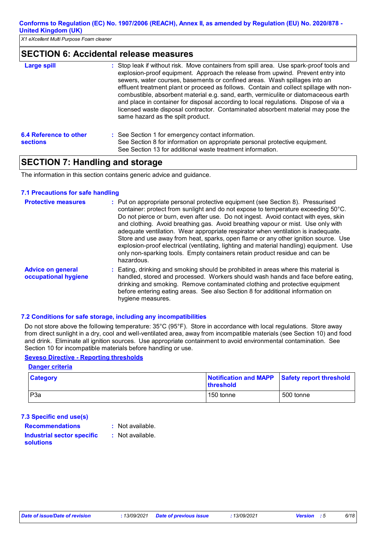### **SECTION 6: Accidental release measures**

| <b>Large spill</b>                        | : Stop leak if without risk. Move containers from spill area. Use spark-proof tools and<br>explosion-proof equipment. Approach the release from upwind. Prevent entry into<br>sewers, water courses, basements or confined areas. Wash spillages into an<br>effluent treatment plant or proceed as follows. Contain and collect spillage with non-<br>combustible, absorbent material e.g. sand, earth, vermiculite or diatomaceous earth<br>and place in container for disposal according to local regulations. Dispose of via a<br>licensed waste disposal contractor. Contaminated absorbent material may pose the<br>same hazard as the spilt product. |
|-------------------------------------------|------------------------------------------------------------------------------------------------------------------------------------------------------------------------------------------------------------------------------------------------------------------------------------------------------------------------------------------------------------------------------------------------------------------------------------------------------------------------------------------------------------------------------------------------------------------------------------------------------------------------------------------------------------|
| 6.4 Reference to other<br><b>sections</b> | : See Section 1 for emergency contact information.<br>See Section 8 for information on appropriate personal protective equipment.<br>See Section 13 for additional waste treatment information.                                                                                                                                                                                                                                                                                                                                                                                                                                                            |

### **SECTION 7: Handling and storage**

The information in this section contains generic advice and guidance.

#### **7.1 Precautions for safe handling**

| <b>Protective measures</b>                       | : Put on appropriate personal protective equipment (see Section 8). Pressurised<br>container: protect from sunlight and do not expose to temperature exceeding 50°C.<br>Do not pierce or burn, even after use. Do not ingest. Avoid contact with eyes, skin<br>and clothing. Avoid breathing gas. Avoid breathing vapour or mist. Use only with<br>adequate ventilation. Wear appropriate respirator when ventilation is inadequate.<br>Store and use away from heat, sparks, open flame or any other ignition source. Use<br>explosion-proof electrical (ventilating, lighting and material handling) equipment. Use<br>only non-sparking tools. Empty containers retain product residue and can be<br>hazardous. |
|--------------------------------------------------|--------------------------------------------------------------------------------------------------------------------------------------------------------------------------------------------------------------------------------------------------------------------------------------------------------------------------------------------------------------------------------------------------------------------------------------------------------------------------------------------------------------------------------------------------------------------------------------------------------------------------------------------------------------------------------------------------------------------|
| <b>Advice on general</b><br>occupational hygiene | : Eating, drinking and smoking should be prohibited in areas where this material is<br>handled, stored and processed. Workers should wash hands and face before eating,<br>drinking and smoking. Remove contaminated clothing and protective equipment<br>before entering eating areas. See also Section 8 for additional information on<br>hygiene measures.                                                                                                                                                                                                                                                                                                                                                      |

### **7.2 Conditions for safe storage, including any incompatibilities**

Do not store above the following temperature: 35°C (95°F). Store in accordance with local regulations. Store away from direct sunlight in a dry, cool and well-ventilated area, away from incompatible materials (see Section 10) and food and drink. Eliminate all ignition sources. Use appropriate containment to avoid environmental contamination. See Section 10 for incompatible materials before handling or use.

### **Seveso Directive - Reporting thresholds**

| <b>Danger criteria</b> |                                                                    |           |  |  |  |
|------------------------|--------------------------------------------------------------------|-----------|--|--|--|
| <b>Category</b>        | Notification and MAPP Safety report threshold<br><b>Ithreshold</b> |           |  |  |  |
| P <sub>3</sub> a       | 150 tonne                                                          | 500 tonne |  |  |  |

### **7.3 Specific end use(s)**

**Recommendations :**

- : Not available.
- **Industrial sector specific : solutions**
- : Not available.
-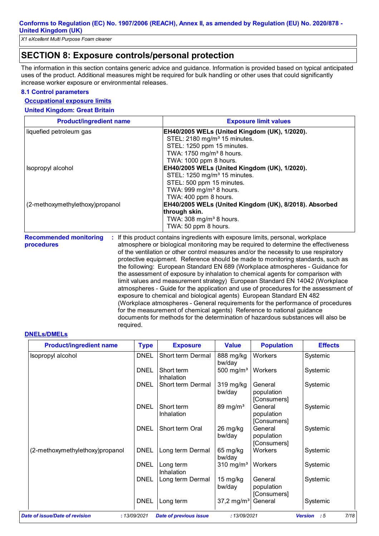*X1 eXcellent Multi Purpose Foam cleaner*

### **SECTION 8: Exposure controls/personal protection**

The information in this section contains generic advice and guidance. Information is provided based on typical anticipated uses of the product. Additional measures might be required for bulk handling or other uses that could significantly increase worker exposure or environmental releases.

#### **8.1 Control parameters**

#### **Occupational exposure limits**

#### **United Kingdom: Great Britain**

| <b>Product/ingredient name</b>  | <b>Exposure limit values</b>                                                                                   |  |  |
|---------------------------------|----------------------------------------------------------------------------------------------------------------|--|--|
| liquefied petroleum gas         | EH40/2005 WELs (United Kingdom (UK), 1/2020).                                                                  |  |  |
|                                 | STEL: 2180 mg/m <sup>3</sup> 15 minutes.                                                                       |  |  |
|                                 | STEL: 1250 ppm 15 minutes.                                                                                     |  |  |
|                                 | TWA: 1750 mg/m <sup>3</sup> 8 hours.                                                                           |  |  |
|                                 | TWA: 1000 ppm 8 hours.                                                                                         |  |  |
| Isopropyl alcohol               | EH40/2005 WELs (United Kingdom (UK), 1/2020).                                                                  |  |  |
|                                 | STEL: 1250 mg/m <sup>3</sup> 15 minutes.                                                                       |  |  |
|                                 | STEL: 500 ppm 15 minutes.                                                                                      |  |  |
|                                 | TWA: 999 mg/m <sup>3</sup> 8 hours.                                                                            |  |  |
|                                 | TWA: 400 ppm 8 hours.                                                                                          |  |  |
| (2-methoxymethylethoxy)propanol | EH40/2005 WELs (United Kingdom (UK), 8/2018). Absorbed                                                         |  |  |
|                                 | through skin.                                                                                                  |  |  |
|                                 | TWA: 308 mg/m <sup>3</sup> 8 hours.                                                                            |  |  |
|                                 | TWA: 50 ppm 8 hours.                                                                                           |  |  |
|                                 | alaal oo dadka obaan 1980. If fiida waxaliyafa aadahaa baayaa dhaqta wadii ayoo aanaa baaba waxaa aada waxalaa |  |  |

**Recommended monitoring procedures :** If this product contains ingredients with exposure limits, personal, workplace atmosphere or biological monitoring may be required to determine the effectiveness of the ventilation or other control measures and/or the necessity to use respiratory protective equipment. Reference should be made to monitoring standards, such as the following: European Standard EN 689 (Workplace atmospheres - Guidance for the assessment of exposure by inhalation to chemical agents for comparison with limit values and measurement strategy) European Standard EN 14042 (Workplace atmospheres - Guide for the application and use of procedures for the assessment of exposure to chemical and biological agents) European Standard EN 482 (Workplace atmospheres - General requirements for the performance of procedures for the measurement of chemical agents) Reference to national guidance documents for methods for the determination of hazardous substances will also be required.

#### **DNELs/DMELs**

| <b>Product/ingredient name</b>  | <b>Type</b>  | <b>Exposure</b>               | <b>Value</b>                 | <b>Population</b>                    | <b>Effects</b>               |
|---------------------------------|--------------|-------------------------------|------------------------------|--------------------------------------|------------------------------|
| Isopropyl alcohol               | <b>DNEL</b>  | Short term Dermal             | 888 mg/kg<br>bw/day          | Workers                              | Systemic                     |
|                                 | <b>DNEL</b>  | Short term<br>Inhalation      | 500 mg/m <sup>3</sup>        | Workers                              | Systemic                     |
|                                 | <b>DNEL</b>  | Short term Dermal             | 319 mg/kg<br>bw/day          | General<br>population<br>[Consumers] | Systemic                     |
|                                 | <b>DNEL</b>  | Short term<br>Inhalation      | 89 mg/m $3$                  | General<br>population<br>[Consumers] | Systemic                     |
|                                 | <b>DNEL</b>  | Short term Oral               | 26 mg/kg<br>bw/day           | General<br>population<br>[Consumers] | Systemic                     |
| (2-methoxymethylethoxy)propanol | <b>DNEL</b>  | Long term Dermal              | 65 mg/kg<br>bw/day           | Workers                              | Systemic                     |
|                                 | <b>DNEL</b>  | Long term<br>Inhalation       | $310 \text{ mg/m}^3$         | Workers                              | Systemic                     |
|                                 | <b>DNEL</b>  | Long term Dermal              | $15 \text{ mg/kg}$<br>bw/day | General<br>population<br>[Consumers] | Systemic                     |
|                                 | <b>DNEL</b>  | Long term                     | $37,2 \,\mathrm{mg/m^3}$     | General                              | Systemic                     |
| Date of issue/Date of revision  | : 13/09/2021 | <b>Date of previous issue</b> | :13/09/2021                  |                                      | 7/18<br><b>Version</b><br>:5 |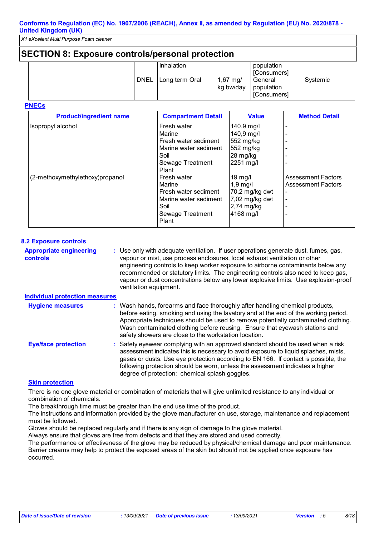*X1 eXcellent Multi Purpose Foam cleaner*

### **SECTION 8: Exposure controls/personal protection**

|                   | <b>Inhalation</b> |                                  | population                           |          |
|-------------------|-------------------|----------------------------------|--------------------------------------|----------|
| <sup>I</sup> DNEL | Long term Oral    | $1,67 \, \text{mg}$<br>kg bw/day | [Consumers]<br>General<br>population | Systemic |
|                   |                   |                                  | [Consumers]                          |          |

**PNECs**

| <b>Product/ingredient name</b>  | <b>Compartment Detail</b>                                                                                   | <b>Value</b>                                                                            | <b>Method Detail</b>                                                               |
|---------------------------------|-------------------------------------------------------------------------------------------------------------|-----------------------------------------------------------------------------------------|------------------------------------------------------------------------------------|
| Isopropyl alcohol               | Fresh water<br>Marine<br>Fresh water sediment<br>Marine water sediment<br>Soil<br>Sewage Treatment<br>Plant | 140,9 mg/l<br>140,9 mg/l<br>552 mg/kg<br>552 mg/kg<br>28 mg/kg<br>2251 mg/l             |                                                                                    |
| (2-methoxymethylethoxy)propanol | Fresh water<br>Marine<br>Fresh water sediment<br>Marine water sediment<br>Soil<br>Sewage Treatment<br>Plant | $19$ mg/l<br>$1,9$ mg/<br>70,2 mg/kg dwt<br>7,02 mg/kg dwt<br>$2,74$ mg/kg<br>4168 mg/l | <b>Assessment Factors</b><br><b>Assessment Factors</b><br>$\overline{\phantom{a}}$ |

#### **8.2 Exposure controls**

**Appropriate engineering controls :** Use only with adequate ventilation. If user operations generate dust, fumes, gas, vapour or mist, use process enclosures, local exhaust ventilation or other engineering controls to keep worker exposure to airborne contaminants below any recommended or statutory limits. The engineering controls also need to keep gas, vapour or dust concentrations below any lower explosive limits. Use explosion-proof ventilation equipment.

#### **Individual protection measures**

| <b>Hygiene measures</b>    | : Wash hands, forearms and face thoroughly after handling chemical products,<br>before eating, smoking and using the lavatory and at the end of the working period.<br>Appropriate techniques should be used to remove potentially contaminated clothing.<br>Wash contaminated clothing before reusing. Ensure that eyewash stations and<br>safety showers are close to the workstation location. |
|----------------------------|---------------------------------------------------------------------------------------------------------------------------------------------------------------------------------------------------------------------------------------------------------------------------------------------------------------------------------------------------------------------------------------------------|
| <b>Eye/face protection</b> | : Safety eyewear complying with an approved standard should be used when a risk<br>assessment indicates this is necessary to avoid exposure to liquid splashes, mists,<br>gases or dusts. Use eye protection according to EN 166. If contact is possible, the<br>following protection should be worn, unless the assessment indicates a higher<br>degree of protection: chemical splash goggles.  |

#### **Skin protection**

There is no one glove material or combination of materials that will give unlimited resistance to any individual or combination of chemicals.

The breakthrough time must be greater than the end use time of the product.

The instructions and information provided by the glove manufacturer on use, storage, maintenance and replacement must be followed.

Gloves should be replaced regularly and if there is any sign of damage to the glove material.

Always ensure that gloves are free from defects and that they are stored and used correctly.

The performance or effectiveness of the glove may be reduced by physical/chemical damage and poor maintenance. Barrier creams may help to protect the exposed areas of the skin but should not be applied once exposure has occurred.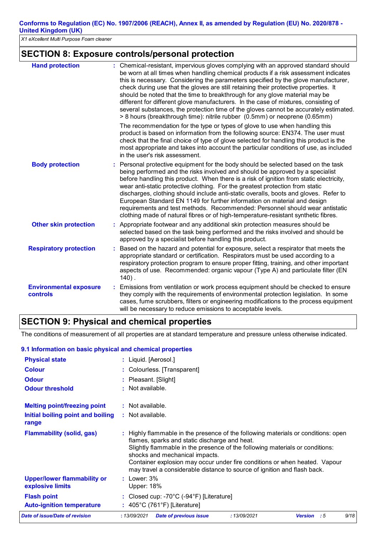*X1 eXcellent Multi Purpose Foam cleaner*

### **SECTION 8: Exposure controls/personal protection**

| <b>Hand protection</b>                    | : Chemical-resistant, impervious gloves complying with an approved standard should<br>be worn at all times when handling chemical products if a risk assessment indicates<br>this is necessary. Considering the parameters specified by the glove manufacturer,<br>check during use that the gloves are still retaining their protective properties. It<br>should be noted that the time to breakthrough for any glove material may be<br>different for different glove manufacturers. In the case of mixtures, consisting of<br>several substances, the protection time of the gloves cannot be accurately estimated.<br>> 8 hours (breakthrough time): nitrile rubber (0.5mm) or neoprene (0.65mm) |
|-------------------------------------------|------------------------------------------------------------------------------------------------------------------------------------------------------------------------------------------------------------------------------------------------------------------------------------------------------------------------------------------------------------------------------------------------------------------------------------------------------------------------------------------------------------------------------------------------------------------------------------------------------------------------------------------------------------------------------------------------------|
|                                           | The recommendation for the type or types of glove to use when handling this<br>product is based on information from the following source: EN374. The user must<br>check that the final choice of type of glove selected for handling this product is the<br>most appropriate and takes into account the particular conditions of use, as included<br>in the user's risk assessment.                                                                                                                                                                                                                                                                                                                  |
| <b>Body protection</b>                    | Personal protective equipment for the body should be selected based on the task<br>being performed and the risks involved and should be approved by a specialist<br>before handling this product. When there is a risk of ignition from static electricity,<br>wear anti-static protective clothing. For the greatest protection from static<br>discharges, clothing should include anti-static overalls, boots and gloves. Refer to<br>European Standard EN 1149 for further information on material and design<br>requirements and test methods. Recommended: Personnel should wear antistatic<br>clothing made of natural fibres or of high-temperature-resistant synthetic fibres.               |
| <b>Other skin protection</b>              | Appropriate footwear and any additional skin protection measures should be<br>selected based on the task being performed and the risks involved and should be<br>approved by a specialist before handling this product.                                                                                                                                                                                                                                                                                                                                                                                                                                                                              |
| <b>Respiratory protection</b>             | Based on the hazard and potential for exposure, select a respirator that meets the<br>appropriate standard or certification. Respirators must be used according to a<br>respiratory protection program to ensure proper fitting, training, and other important<br>aspects of use. Recommended: organic vapour (Type A) and particulate filter (EN<br>$140$ ).                                                                                                                                                                                                                                                                                                                                        |
| <b>Environmental exposure</b><br>controls | Emissions from ventilation or work process equipment should be checked to ensure<br>they comply with the requirements of environmental protection legislation. In some<br>cases, fume scrubbers, filters or engineering modifications to the process equipment<br>will be necessary to reduce emissions to acceptable levels.                                                                                                                                                                                                                                                                                                                                                                        |

### **SECTION 9: Physical and chemical properties**

The conditions of measurement of all properties are at standard temperature and pressure unless otherwise indicated.

### **9.1 Information on basic physical and chemical properties**

| <b>Physical state</b>                                  | : Liquid. [Aerosol.]                                                                                                                                                                                                                                                                                                                                                                                           |  |  |  |
|--------------------------------------------------------|----------------------------------------------------------------------------------------------------------------------------------------------------------------------------------------------------------------------------------------------------------------------------------------------------------------------------------------------------------------------------------------------------------------|--|--|--|
| <b>Colour</b>                                          | : Colourless. [Transparent]                                                                                                                                                                                                                                                                                                                                                                                    |  |  |  |
| <b>Odour</b>                                           | : Pleasant. [Slight]                                                                                                                                                                                                                                                                                                                                                                                           |  |  |  |
| <b>Odour threshold</b>                                 | $\cdot$ Not available.                                                                                                                                                                                                                                                                                                                                                                                         |  |  |  |
| <b>Melting point/freezing point</b>                    | $:$ Not available.                                                                                                                                                                                                                                                                                                                                                                                             |  |  |  |
| Initial boiling point and boiling<br>range             | : Not available.                                                                                                                                                                                                                                                                                                                                                                                               |  |  |  |
| <b>Flammability (solid, gas)</b>                       | : Highly flammable in the presence of the following materials or conditions: open<br>flames, sparks and static discharge and heat.<br>Slightly flammable in the presence of the following materials or conditions:<br>shocks and mechanical impacts.<br>Container explosion may occur under fire conditions or when heated. Vapour<br>may travel a considerable distance to source of ignition and flash back. |  |  |  |
| <b>Upper/lower flammability or</b><br>explosive limits | $:$ Lower: $3\%$<br>Upper: 18%                                                                                                                                                                                                                                                                                                                                                                                 |  |  |  |
| <b>Flash point</b><br><b>Auto-ignition temperature</b> | : Closed cup: -70 $\degree$ C (-94 $\degree$ F) [Literature]<br>: $405^{\circ}$ C (761°F) [Literature]                                                                                                                                                                                                                                                                                                         |  |  |  |
| Date of issue/Date of revision                         | 9/18<br>:13/09/2021<br><b>Date of previous issue</b><br>:13/09/2021<br><b>Version</b><br>- : 5                                                                                                                                                                                                                                                                                                                 |  |  |  |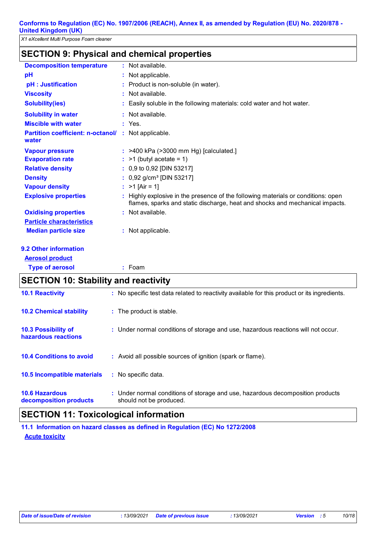# **SECTION 9: Physical and chemical properties**

| <b>Decomposition temperature</b>                             | Not available.                                                                                                                                                  |  |  |
|--------------------------------------------------------------|-----------------------------------------------------------------------------------------------------------------------------------------------------------------|--|--|
| pH                                                           | Not applicable.                                                                                                                                                 |  |  |
| pH : Justification                                           | Product is non-soluble (in water).                                                                                                                              |  |  |
| <b>Viscosity</b>                                             | : Not available.                                                                                                                                                |  |  |
| <b>Solubility(ies)</b>                                       | Easily soluble in the following materials: cold water and hot water.                                                                                            |  |  |
| <b>Solubility in water</b>                                   | Not available.                                                                                                                                                  |  |  |
| <b>Miscible with water</b>                                   | $:$ Yes.                                                                                                                                                        |  |  |
| Partition coefficient: n-octanol/ : Not applicable.<br>water |                                                                                                                                                                 |  |  |
| <b>Vapour pressure</b>                                       | : >400 kPa (>3000 mm Hg) [calculated.]                                                                                                                          |  |  |
| <b>Evaporation rate</b>                                      | $>1$ (butyl acetate = 1)                                                                                                                                        |  |  |
| <b>Relative density</b>                                      | 0,9 to 0,92 [DIN 53217]                                                                                                                                         |  |  |
| <b>Density</b>                                               | 0,92 g/cm <sup>3</sup> [DIN 53217]                                                                                                                              |  |  |
| <b>Vapour density</b>                                        | $>1$ [Air = 1]                                                                                                                                                  |  |  |
| <b>Explosive properties</b>                                  | Highly explosive in the presence of the following materials or conditions: open<br>flames, sparks and static discharge, heat and shocks and mechanical impacts. |  |  |
| <b>Oxidising properties</b>                                  | : Not available.                                                                                                                                                |  |  |
| <b>Particle characteristics</b>                              |                                                                                                                                                                 |  |  |
| <b>Median particle size</b>                                  | : Not applicable.                                                                                                                                               |  |  |
|                                                              |                                                                                                                                                                 |  |  |
| 9.2 Other information                                        |                                                                                                                                                                 |  |  |
| <b>Aerosol product</b>                                       |                                                                                                                                                                 |  |  |
| <b>Type of aerosol</b>                                       | $:$ Foam                                                                                                                                                        |  |  |
| <b>SECTION 10: Stability and reactivity</b>                  |                                                                                                                                                                 |  |  |
| <b>10.1 Reactivity</b>                                       | : No specific test data related to reactivity available for this product or its ingredients.                                                                    |  |  |
| <b>10.2 Chemical stability</b>                               | : The product is stable.                                                                                                                                        |  |  |
| 10.3 Possibility of<br>hazardous reactions                   | : Under normal conditions of storage and use, hazardous reactions will not occur.                                                                               |  |  |
| <b>10.4 Conditions to avoid</b>                              | : Avoid all possible sources of ignition (spark or flame).                                                                                                      |  |  |
| 10.5 Incompatible materials                                  | : No specific data.                                                                                                                                             |  |  |
| <b>10.6 Hazardous</b><br>decomposition products              | Under normal conditions of storage and use, hazardous decomposition products<br>should not be produced.                                                         |  |  |

# **SECTION 11: Toxicological information**

**Acute toxicity 11.1 Information on hazard classes as defined in Regulation (EC) No 1272/2008**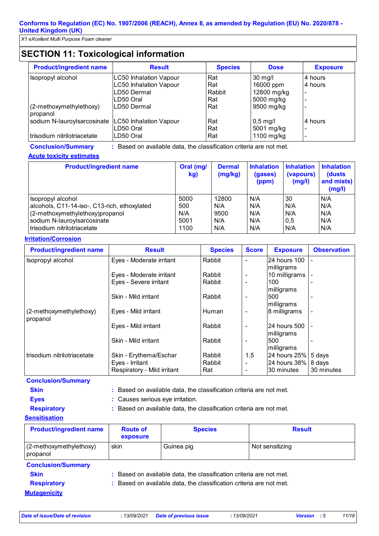# **SECTION 11: Toxicological information**

| <b>Product/ingredient name</b>      | <b>Result</b>                 | <b>Species</b> | <b>Dose</b>        | <b>Exposure</b>          |
|-------------------------------------|-------------------------------|----------------|--------------------|--------------------------|
| Isopropyl alcohol                   | <b>LC50 Inhalation Vapour</b> | Rat            | $30 \text{ mg/l}$  | 4 hours                  |
|                                     | <b>LC50 Inhalation Vapour</b> | Rat            | 16000 ppm          | 4 hours                  |
|                                     | LD50 Dermal                   | Rabbit         | 12800 mg/kg        | $\overline{\phantom{a}}$ |
|                                     | LD50 Oral                     | Rat            | 5000 mg/kg         |                          |
| (2-methoxymethylethoxy)<br>propanol | LD50 Dermal                   | Rat            | 9500 mg/kg         |                          |
| sodium N-lauroylsarcosinate         | LC50 Inhalation Vapour        | Rat            | $ 0,5 \text{ mg/}$ | 4 hours                  |
|                                     | LD50 Oral                     | Rat            | 5001 mg/kg         |                          |
| trisodium nitrilotriacetate         | LD50 Oral                     | Rat            | 1100 mg/kg         |                          |

# **Acute toxicity estimates**

**Conclusion/Summary :** Based on available data, the classification criteria are not met.

| <b>Product/ingredient name</b>               | Oral (mg/<br>kg) | <b>Dermal</b><br>(mg/kg) | <b>Inhalation</b><br>(gases)<br>(ppm) | <b>Inhalation</b><br>(vapours)<br>(mg/l) | <b>Inhalation</b><br>(dusts)<br>and mists)<br>(mg/l) |
|----------------------------------------------|------------------|--------------------------|---------------------------------------|------------------------------------------|------------------------------------------------------|
| Isopropyl alcohol                            | 5000             | 12800                    | N/A                                   | 30                                       | N/A                                                  |
| alcohols, C11-14-iso-, C13-rich, ethoxylated | 500              | N/A                      | N/A                                   | N/A                                      | N/A                                                  |
| (2-methoxymethylethoxy)propanol              | N/A              | 9500                     | N/A                                   | N/A                                      | N/A                                                  |
| sodium N-lauroylsarcosinate                  | 5001             | N/A                      | N/A                                   | 0.5                                      | N/A                                                  |
| trisodium nitrilotriacetate                  | 1100             | N/A                      | N/A                                   | N/A                                      | N/A                                                  |

### **Irritation/Corrosion**

| <b>Product/ingredient name</b> | <b>Result</b>               | <b>Species</b> | <b>Score</b>             | <b>Exposure</b>     | <b>Observation</b>       |
|--------------------------------|-----------------------------|----------------|--------------------------|---------------------|--------------------------|
| Isopropyl alcohol              | Eyes - Moderate irritant    | Rabbit         | $\overline{\phantom{a}}$ | 24 hours 100        | Ξ.                       |
|                                |                             |                |                          | milligrams          |                          |
|                                | Eyes - Moderate irritant    | Rabbit         | $\blacksquare$           | 10 milligrams       |                          |
|                                | Eyes - Severe irritant      | Rabbit         |                          | 100                 |                          |
|                                |                             |                |                          | milligrams          |                          |
|                                | Skin - Mild irritant        | Rabbit         | ۰                        | 500                 | $\overline{\phantom{a}}$ |
|                                |                             |                |                          | milligrams          |                          |
| (2-methoxymethylethoxy)        | Eyes - Mild irritant        | Human          | ۰                        | 8 milligrams        | $\overline{\phantom{a}}$ |
| propanol                       |                             |                |                          |                     |                          |
|                                | Eyes - Mild irritant        | Rabbit         | ۰                        | 24 hours 500        | $\overline{\phantom{a}}$ |
|                                |                             |                |                          | milligrams          |                          |
|                                | Skin - Mild irritant        | Rabbit         |                          | 500                 |                          |
|                                |                             |                |                          | milligrams          |                          |
| trisodium nitrilotriacetate    | Skin - Erythema/Eschar      | Rabbit         | 1,5                      | 24 hours 25% 5 days |                          |
|                                | Eyes - Irritant             | Rabbit         |                          | 24 hours 38% 8 days |                          |
|                                | Respiratory - Mild irritant | Rat            |                          | 30 minutes          | 30 minutes               |
| <b>Conclusion/Summary</b>      |                             |                |                          |                     |                          |

**Skin :** Based on available data, the classification criteria are not met.

- **Eyes :** Causes serious eye irritation.
- 

**Respiratory :** Based on available data, the classification criteria are not met.

### **Sensitisation**

| <b>Product/ingredient name</b>      | <b>Route of</b><br>exposure                                         | <b>Species</b> | <b>Result</b>   |
|-------------------------------------|---------------------------------------------------------------------|----------------|-----------------|
| (2-methoxymethylethoxy)<br>propanol | skin                                                                | Guinea pig     | Not sensitizing |
| <b>Conclusion/Summary</b>           |                                                                     |                |                 |
| <b>Skin</b>                         | : Based on available data, the classification criteria are not met. |                |                 |
| <b>Respiratory</b>                  | : Based on available data, the classification criteria are not met. |                |                 |

**Mutagenicity**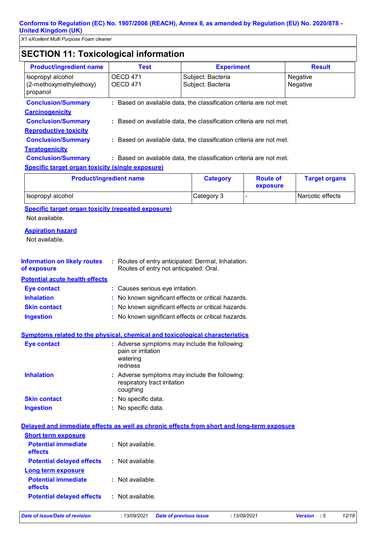*X1 eXcellent Multi Purpose Foam cleaner*

# **SECTION 11: Toxicological information**

| <b>Product/ingredient name</b>                                                             | <b>Test</b>                                                                                  |                                        | <b>Experiment</b>           | <b>Result</b>        |
|--------------------------------------------------------------------------------------------|----------------------------------------------------------------------------------------------|----------------------------------------|-----------------------------|----------------------|
| Isopropyl alcohol<br>(2-methoxymethylethoxy)<br>propanol                                   | <b>OECD 471</b><br><b>OECD 471</b>                                                           | Subject: Bacteria<br>Subject: Bacteria |                             | Negative<br>Negative |
| <b>Conclusion/Summary</b>                                                                  | : Based on available data, the classification criteria are not met.                          |                                        |                             |                      |
| <b>Carcinogenicity</b>                                                                     |                                                                                              |                                        |                             |                      |
| <b>Conclusion/Summary</b>                                                                  | : Based on available data, the classification criteria are not met.                          |                                        |                             |                      |
| <b>Reproductive toxicity</b>                                                               |                                                                                              |                                        |                             |                      |
| <b>Conclusion/Summary</b>                                                                  | : Based on available data, the classification criteria are not met.                          |                                        |                             |                      |
| <b>Teratogenicity</b>                                                                      |                                                                                              |                                        |                             |                      |
| <b>Conclusion/Summary</b>                                                                  | : Based on available data, the classification criteria are not met.                          |                                        |                             |                      |
| <b>Specific target organ toxicity (single exposure)</b>                                    |                                                                                              |                                        |                             |                      |
| <b>Product/ingredient name</b>                                                             |                                                                                              | <b>Category</b>                        | <b>Route of</b><br>exposure | <b>Target organs</b> |
| Isopropyl alcohol                                                                          |                                                                                              | Category 3                             | L,                          | Narcotic effects     |
| <b>Specific target organ toxicity (repeated exposure)</b>                                  |                                                                                              |                                        |                             |                      |
| Not available.                                                                             |                                                                                              |                                        |                             |                      |
| <b>Aspiration hazard</b>                                                                   |                                                                                              |                                        |                             |                      |
| Not available.                                                                             |                                                                                              |                                        |                             |                      |
| <b>Information on likely routes</b><br>of exposure                                         | : Routes of entry anticipated: Dermal, Inhalation.<br>Routes of entry not anticipated: Oral. |                                        |                             |                      |
| <b>Potential acute health effects</b>                                                      |                                                                                              |                                        |                             |                      |
| <b>Eye contact</b>                                                                         | : Causes serious eye irritation.                                                             |                                        |                             |                      |
| <b>Inhalation</b>                                                                          | : No known significant effects or critical hazards.                                          |                                        |                             |                      |
| <b>Skin contact</b>                                                                        | No known significant effects or critical hazards.                                            |                                        |                             |                      |
| <b>Ingestion</b>                                                                           | : No known significant effects or critical hazards.                                          |                                        |                             |                      |
| <b>Symptoms related to the physical, chemical and toxicological characteristics</b>        |                                                                                              |                                        |                             |                      |
| <b>Eye contact</b>                                                                         | : Adverse symptoms may include the following:<br>pain or irritation<br>watering<br>redness   |                                        |                             |                      |
| <b>Inhalation</b>                                                                          | : Adverse symptoms may include the following:<br>respiratory tract irritation<br>coughing    |                                        |                             |                      |
| <b>Skin contact</b>                                                                        | : No specific data.                                                                          |                                        |                             |                      |
| <b>Ingestion</b>                                                                           | : No specific data.                                                                          |                                        |                             |                      |
| Delayed and immediate effects as well as chronic effects from short and long-term exposure |                                                                                              |                                        |                             |                      |
| <b>Short term exposure</b>                                                                 |                                                                                              |                                        |                             |                      |
| <b>Potential immediate</b><br>effects                                                      | : Not available.                                                                             |                                        |                             |                      |
| <b>Potential delayed effects</b>                                                           | : Not available.                                                                             |                                        |                             |                      |
| <b>Long term exposure</b>                                                                  |                                                                                              |                                        |                             |                      |
| <b>Potential immediate</b><br>effects                                                      | $:$ Not available.                                                                           |                                        |                             |                      |
| <b>Potential delayed effects</b>                                                           | : Not available.                                                                             |                                        |                             |                      |
| <b>Date of issue/Date of revision</b>                                                      | : 13/09/2021                                                                                 | <b>Date of previous issue</b>          | : 13/09/2021                | Version : 5<br>12/18 |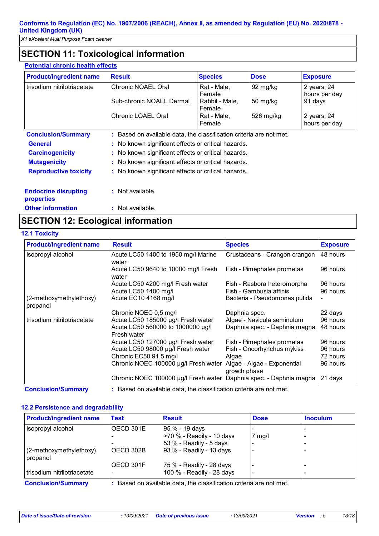*X1 eXcellent Multi Purpose Foam cleaner*

# **SECTION 11: Toxicological information**

| <b>Potential chronic health effects</b>          |                                                                     |                          |             |                              |
|--------------------------------------------------|---------------------------------------------------------------------|--------------------------|-------------|------------------------------|
| <b>Product/ingredient name</b>                   | <b>Result</b>                                                       | <b>Species</b>           | <b>Dose</b> | <b>Exposure</b>              |
| trisodium nitrilotriacetate                      | Chronic NOAEL Oral                                                  | Rat - Male,<br>Female    | 92 mg/kg    | 2 years; 24<br>hours per day |
|                                                  | Sub-chronic NOAEL Dermal                                            | Rabbit - Male,<br>Female | 50 mg/kg    | 91 days                      |
|                                                  | Chronic LOAEL Oral                                                  | Rat - Male,<br>Female    | 526 mg/kg   | 2 years; 24<br>hours per day |
| <b>Conclusion/Summary</b>                        | : Based on available data, the classification criteria are not met. |                          |             |                              |
| <b>General</b>                                   | : No known significant effects or critical hazards.                 |                          |             |                              |
| <b>Carcinogenicity</b>                           | : No known significant effects or critical hazards.                 |                          |             |                              |
| <b>Mutagenicity</b>                              | : No known significant effects or critical hazards.                 |                          |             |                              |
| <b>Reproductive toxicity</b>                     | : No known significant effects or critical hazards.                 |                          |             |                              |
| <b>Endocrine disrupting</b><br><b>properties</b> | $:$ Not available.                                                  |                          |             |                              |
| <b>Other information</b>                         | $:$ Not available.                                                  |                          |             |                              |

### **SECTION 12: Ecological information**

**12.1 Toxicity**

| <b>Product/ingredient name</b>      | <b>Result</b>                                                        | <b>Species</b>                              | <b>Exposure</b> |
|-------------------------------------|----------------------------------------------------------------------|---------------------------------------------|-----------------|
| Isopropyl alcohol                   | Acute LC50 1400 to 1950 mg/l Marine<br>water                         | Crustaceans - Crangon crangon               | 48 hours        |
|                                     | Acute LC50 9640 to 10000 mg/l Fresh<br>water                         | Fish - Pimephales promelas                  | 96 hours        |
|                                     | Acute LC50 4200 mg/l Fresh water                                     | Fish - Rasbora heteromorpha                 | 96 hours        |
|                                     | Acute LC50 1400 mg/l                                                 | Fish - Gambusia affinis                     | 96 hours        |
| (2-methoxymethylethoxy)<br>propanol | Acute EC10 4168 mg/l                                                 | Bacteria - Pseudomonas putida               |                 |
|                                     | Chronic NOEC 0,5 mg/l                                                | Daphnia spec.                               | 22 days         |
| trisodium nitrilotriacetate         | Acute LC50 185000 µg/l Fresh water                                   | Algae - Navicula seminulum                  | 96 hours        |
|                                     | Acute LC50 560000 to 1000000 µg/l<br>Fresh water                     | Daphnia spec. - Daphnia magna               | 48 hours        |
|                                     | Acute LC50 127000 µg/l Fresh water                                   | Fish - Pimephales promelas                  | 96 hours        |
|                                     | Acute LC50 98000 µg/l Fresh water                                    | Fish - Oncorhynchus mykiss                  | 96 hours        |
|                                     | Chronic EC50 91,5 mg/l                                               | Algae                                       | 72 hours        |
|                                     | Chronic NOEC 100000 µg/l Fresh water                                 | Algae - Algae - Exponential<br>growth phase | 96 hours        |
|                                     | Chronic NOEC 100000 µg/l Fresh water   Daphnia spec. - Daphnia magna |                                             | 21 days         |

**Conclusion/Summary :** Based on available data, the classification criteria are not met.

### **12.2 Persistence and degradability**

| <b>Product/ingredient name</b>      | <b>Test</b> | <b>Result</b>             | <b>Dose</b> | <b>Inoculum</b> |
|-------------------------------------|-------------|---------------------------|-------------|-----------------|
| Isopropyl alcohol                   | OECD 301E   | 95 % - 19 days            |             |                 |
|                                     |             | >70 % - Readily - 10 days | mq/l        |                 |
|                                     |             | 53 % - Readily - 5 days   |             |                 |
| (2-methoxymethylethoxy)<br>propanol | OECD 302B   | 93 % - Readily - 13 days  |             |                 |
|                                     | OECD 301F   | 75 % - Readily - 28 days  |             |                 |
| l trisodium nitrilotriacetate       |             | 100 % - Readily - 28 days |             |                 |

**:** Based on available data, the classification criteria are not met. **Conclusion/Summary**

*Date of issue/Date of revision* **:** *13/09/2021 Date of previous issue : 13/09/2021 Version : 5 13/18*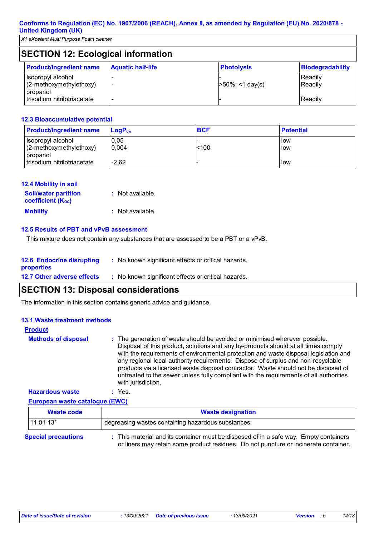| <b>SECTION 12: Ecological information</b>                |                          |                     |                         |  |
|----------------------------------------------------------|--------------------------|---------------------|-------------------------|--|
| <b>Product/ingredient name</b>                           | <b>Aquatic half-life</b> | <b>Photolysis</b>   | <b>Biodegradability</b> |  |
| Isopropyl alcohol<br>(2-methoxymethylethoxy)<br>propanol |                          | $>50\%$ ; <1 day(s) | Readily<br>Readily      |  |
| trisodium nitrilotriacetate                              |                          |                     | Readily                 |  |

#### **12.3 Bioaccumulative potential**

| <b>Product/ingredient name</b>                           | $LoaPow$      | <b>BCF</b> | <b>Potential</b> |
|----------------------------------------------------------|---------------|------------|------------------|
| Isopropyl alcohol<br>(2-methoxymethylethoxy)<br>propanol | 0,05<br>0.004 | < 100      | llow<br>llow     |
| trisodium nitrilotriacetate                              | $-2,62$       |            | llow             |

| <b>12.4 Mobility in soil</b> |                    |
|------------------------------|--------------------|
| <b>Soil/water partition</b>  | : Not available.   |
| <b>coefficient (Koc)</b>     |                    |
| <b>Mobility</b>              | $:$ Not available. |

#### **12.5 Results of PBT and vPvB assessment**

This mixture does not contain any substances that are assessed to be a PBT or a vPvB.

| <b>12.6 Endocrine disrupting</b><br><b>properties</b> | : No known significant effects or critical hazards. |
|-------------------------------------------------------|-----------------------------------------------------|
| <b>12.7 Other adverse effects</b>                     | : No known significant effects or critical hazards. |

### **SECTION 13: Disposal considerations**

The information in this section contains generic advice and guidance.

#### **13.1 Waste treatment methods**

| <b>Product</b>                        |                                                                                                                                                                                                                                                                                                                                                                                                                                                                                                                                                     |
|---------------------------------------|-----------------------------------------------------------------------------------------------------------------------------------------------------------------------------------------------------------------------------------------------------------------------------------------------------------------------------------------------------------------------------------------------------------------------------------------------------------------------------------------------------------------------------------------------------|
| <b>Methods of disposal</b>            | : The generation of waste should be avoided or minimised wherever possible.<br>Disposal of this product, solutions and any by-products should at all times comply<br>with the requirements of environmental protection and waste disposal legislation and<br>any regional local authority requirements. Dispose of surplus and non-recyclable<br>products via a licensed waste disposal contractor. Waste should not be disposed of<br>untreated to the sewer unless fully compliant with the requirements of all authorities<br>with jurisdiction. |
| <b>Hazardous waste</b>                | $:$ Yes.                                                                                                                                                                                                                                                                                                                                                                                                                                                                                                                                            |
| <b>European waste catalogue (EWC)</b> |                                                                                                                                                                                                                                                                                                                                                                                                                                                                                                                                                     |

|                            | Waste code | <b>Waste designation</b>                                                            |  |  |
|----------------------------|------------|-------------------------------------------------------------------------------------|--|--|
| $1110113*$                 |            | I degreasing wastes containing hazardous substances                                 |  |  |
| <b>Special precautions</b> |            | This material and its container must be disposed of in a safe way. Empty containers |  |  |

or liners may retain some product residues. Do not puncture or incinerate container.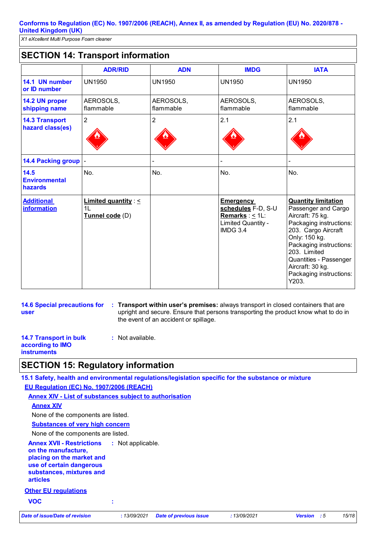### **SECTION 14: Transport information**

|                                           | <b>ADR/RID</b>                                                 | <b>ADN</b>             | <b>IMDG</b>                                                                                             | <b>IATA</b>                                                                                                                                                                                                                                                           |
|-------------------------------------------|----------------------------------------------------------------|------------------------|---------------------------------------------------------------------------------------------------------|-----------------------------------------------------------------------------------------------------------------------------------------------------------------------------------------------------------------------------------------------------------------------|
| 14.1 UN number<br>or ID number            | <b>UN1950</b>                                                  | <b>UN1950</b>          | <b>UN1950</b>                                                                                           | <b>UN1950</b>                                                                                                                                                                                                                                                         |
| 14.2 UN proper<br>shipping name           | AEROSOLS,<br>flammable                                         | AEROSOLS,<br>flammable | AEROSOLS,<br>flammable                                                                                  | AEROSOLS,<br>flammable                                                                                                                                                                                                                                                |
| <b>14.3 Transport</b><br>hazard class(es) | $\overline{2}$                                                 | $\overline{2}$         | 2.1                                                                                                     | 2.1                                                                                                                                                                                                                                                                   |
| <b>14.4 Packing group</b>                 |                                                                |                        |                                                                                                         |                                                                                                                                                                                                                                                                       |
| 14.5<br><b>Environmental</b><br>hazards   | No.                                                            | No.                    | No.                                                                                                     | No.                                                                                                                                                                                                                                                                   |
| <b>Additional</b><br><b>information</b>   | Limited quantity : $\leq$<br>1 <sub>L</sub><br>Tunnel code (D) |                        | <b>Emergency</b><br>schedules F-D, S-U<br>Remarks: $\leq 1$ L:<br>Limited Quantity -<br><b>IMDG 3.4</b> | <b>Quantity limitation</b><br>Passenger and Cargo<br>Aircraft: 75 kg.<br>Packaging instructions:<br>203. Cargo Aircraft<br>Only: 150 kg.<br>Packaging instructions:<br>203. Limited<br>Quantities - Passenger<br>Aircraft: 30 kg.<br>Packaging instructions:<br>Y203. |

**14.6 Special precautions for user**

**Transport within user's premises:** always transport in closed containers that are **:** upright and secure. Ensure that persons transporting the product know what to do in the event of an accident or spillage.

**14.7 Transport in bulk according to IMO instruments :** Not available.

### **SECTION 15: Regulatory information**

**Other EU regulations Annex XVII - Restrictions on the manufacture, placing on the market and use of certain dangerous substances, mixtures and articles** : Not applicable. **15.1 Safety, health and environmental regulations/legislation specific for the substance or mixture EU Regulation (EC) No. 1907/2006 (REACH) Annex XIV - List of substances subject to authorisation Substances of very high concern** None of the components are listed. **Annex XIV** None of the components are listed. **VOC :** *Date of issue/Date of revision* **:** *13/09/2021 Date of previous issue : 13/09/2021 Version : 5 15/18*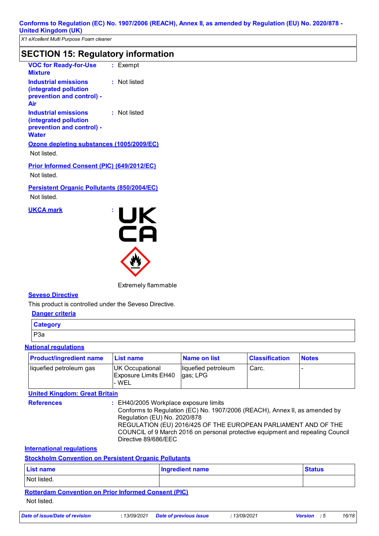### **SECTION 15: Regulatory information**

| <b>VOC for Ready-for-Use</b><br><b>Mixture</b>                                                    |  | $:$ Exempt   |  |  |
|---------------------------------------------------------------------------------------------------|--|--------------|--|--|
| <b>Industrial emissions</b><br>(integrated pollution<br>prevention and control) -<br>Air          |  | : Not listed |  |  |
| <b>Industrial emissions</b><br>(integrated pollution<br>prevention and control) -<br><b>Water</b> |  | : Not listed |  |  |
| Ozone depleting substances (1005/2009/EC)<br>Not listed.                                          |  |              |  |  |
| <b>Prior Informed Consent (PIC) (649/2012/EC)</b>                                                 |  |              |  |  |

Not listed.

**Persistent Organic Pollutants (850/2004/EC)**

Not listed.

**UKCA mark :**



Extremely flammable

#### **Seveso Directive**

This product is controlled under the Seveso Directive.

| Danger criteria |  |  |
|-----------------|--|--|
| <b>Category</b> |  |  |
| P <sub>3a</sub> |  |  |

### **National regulations**

| <b>Product/ingredient name</b> | <b>List name</b>                                        | Name on list                    | <b>Classification</b> | <b>Notes</b> |
|--------------------------------|---------------------------------------------------------|---------------------------------|-----------------------|--------------|
| liquefied petroleum gas        | UK Occupational<br><b>Exposure Limits EH40</b><br>- WEL | liquefied petroleum<br>gas; LPG | Carc.                 |              |

### **United Kingdom: Great Britain**

**References :** EH40/2005 Workplace exposure limits

Conforms to Regulation (EC) No. 1907/2006 (REACH), Annex II, as amended by Regulation (EU) No. 2020/878 REGULATION (EU) 2016/425 OF THE EUROPEAN PARLIAMENT AND OF THE COUNCIL of 9 March 2016 on personal protective equipment and repealing Council Directive 89/686/EEC

### **International regulations**

**Stockholm Convention on Persistent Organic Pollutants**

| <b>List name</b>                                            | <b>Ingredient name</b> | <b>Status</b> |  |  |
|-------------------------------------------------------------|------------------------|---------------|--|--|
| Not listed.                                                 |                        |               |  |  |
| <b>Rotterdam Convention on Prior Informed Consent (PIC)</b> |                        |               |  |  |
| Not listed.                                                 |                        |               |  |  |

*Date of issue/Date of revision* **:** *13/09/2021 Date of previous issue : 13/09/2021 Version : 5 16/18*

| 13/09/2021 | Date of p |  |
|------------|-----------|--|
|------------|-----------|--|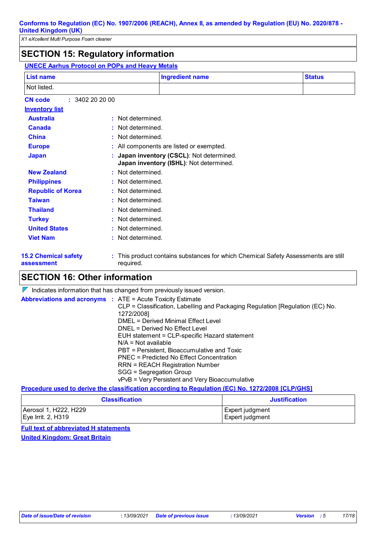# **SECTION 15: Regulatory information**

| <b>UNECE Aarhus Protocol on POPs and Heavy Metals</b>  |                       |                                                                                    |               |  |  |
|--------------------------------------------------------|-----------------------|------------------------------------------------------------------------------------|---------------|--|--|
| List name                                              |                       | <b>Ingredient name</b>                                                             | <b>Status</b> |  |  |
| Not listed.                                            |                       |                                                                                    |               |  |  |
| : 3402202000<br><b>CN</b> code                         |                       |                                                                                    |               |  |  |
| <b>Inventory list</b>                                  |                       |                                                                                    |               |  |  |
| <b>Australia</b>                                       | : Not determined.     |                                                                                    |               |  |  |
| <b>Canada</b>                                          | Not determined.       |                                                                                    |               |  |  |
| <b>China</b>                                           | Not determined.       |                                                                                    |               |  |  |
| <b>Europe</b>                                          |                       | All components are listed or exempted.                                             |               |  |  |
| <b>Japan</b>                                           |                       | Japan inventory (CSCL): Not determined.<br>Japan inventory (ISHL): Not determined. |               |  |  |
| <b>New Zealand</b><br>: Not determined.                |                       |                                                                                    |               |  |  |
| Not determined.<br><b>Philippines</b>                  |                       |                                                                                    |               |  |  |
| <b>Republic of Korea</b><br>Not determined.<br>t.      |                       |                                                                                    |               |  |  |
| <b>Taiwan</b>                                          | Not determined.       |                                                                                    |               |  |  |
| <b>Thailand</b>                                        | Not determined.       |                                                                                    |               |  |  |
| <b>Turkey</b>                                          | Not determined.<br>t. |                                                                                    |               |  |  |
| <b>United States</b>                                   | Not determined.       |                                                                                    |               |  |  |
| <b>Viet Nam</b>                                        | Not determined.       |                                                                                    |               |  |  |
| <b>15.2 Chemical safety</b><br>required.<br>assessment |                       | This product contains substances for which Chemical Safety Assessments are still   |               |  |  |

### **SECTION 16: Other information**

 $\nabla$  Indicates information that has changed from previously issued version.

| <b>Abbreviations and acronyms : ATE = Acute Toxicity Estimate</b> |                                                                                                  |
|-------------------------------------------------------------------|--------------------------------------------------------------------------------------------------|
|                                                                   | CLP = Classification, Labelling and Packaging Regulation [Regulation (EC) No.                    |
|                                                                   | 1272/2008]                                                                                       |
|                                                                   | DMEL = Derived Minimal Effect Level                                                              |
|                                                                   | DNEL = Derived No Effect Level                                                                   |
|                                                                   | EUH statement = CLP-specific Hazard statement                                                    |
|                                                                   | $N/A = Not available$                                                                            |
|                                                                   | PBT = Persistent, Bioaccumulative and Toxic                                                      |
|                                                                   | PNEC = Predicted No Effect Concentration                                                         |
|                                                                   | <b>RRN = REACH Registration Number</b>                                                           |
|                                                                   | SGG = Segregation Group                                                                          |
|                                                                   | vPvB = Very Persistent and Very Bioaccumulative                                                  |
|                                                                   | Procedure used to derive the classification according to Regulation (EC) No. 1272/2008 [CLP/GHS] |

| <b>Classification</b> | <b>Justification</b> |  |
|-----------------------|----------------------|--|
| Aerosol 1, H222, H229 | Expert judgment      |  |
| $Eve$ Irrit. 2, H319  | Expert judgment      |  |

**Full text of abbreviated H statements United Kingdom: Great Britain**